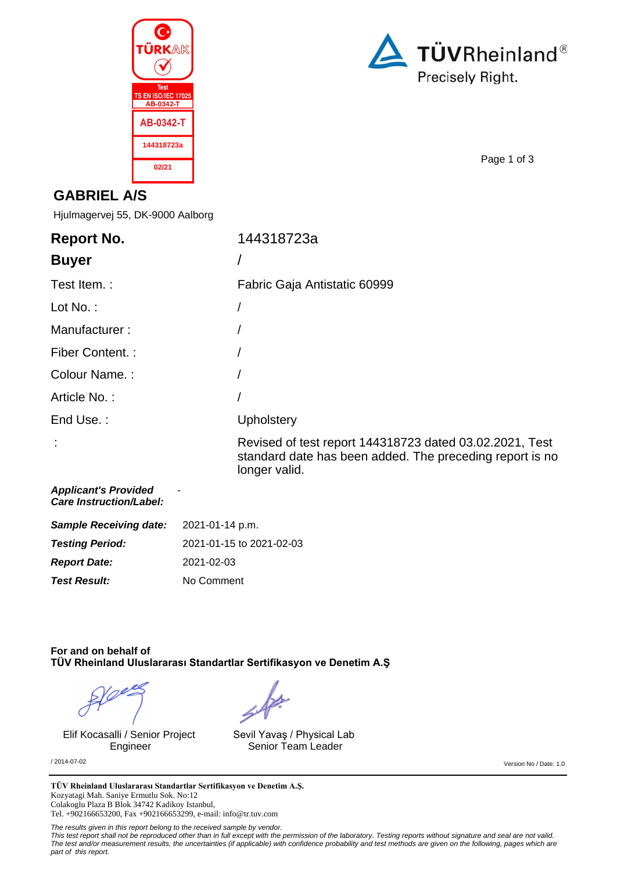



Page 1 of 3

### **GABRIEL A/S**

Hjulmagervej 55, DK-9000 Aalborg

| <b>Report No.</b>                                             | 144318723a                                                                                                                           |  |
|---------------------------------------------------------------|--------------------------------------------------------------------------------------------------------------------------------------|--|
| <b>Buyer</b>                                                  |                                                                                                                                      |  |
| Test Item.:                                                   | Fabric Gaja Antistatic 60999                                                                                                         |  |
| Lot $No.$ :                                                   |                                                                                                                                      |  |
| Manufacturer:                                                 |                                                                                                                                      |  |
| Fiber Content. :                                              |                                                                                                                                      |  |
| Colour Name.:                                                 |                                                                                                                                      |  |
| Article No.:                                                  |                                                                                                                                      |  |
| End Use.:                                                     | Upholstery                                                                                                                           |  |
|                                                               | Revised of test report 144318723 dated 03.02.2021, Test<br>standard date has been added. The preceding report is no<br>longer valid. |  |
| <b>Applicant's Provided</b><br><b>Care Instruction/Label:</b> |                                                                                                                                      |  |
| <b>Sample Receiving date:</b>                                 | 2021-01-14 p.m.                                                                                                                      |  |
| <b>Testing Period:</b>                                        | 2021-01-15 to 2021-02-03                                                                                                             |  |
| <b>Report Date:</b>                                           | 2021-02-03                                                                                                                           |  |

#### **For and on behalf of TÜV Rheinland Uluslararası Standartlar Sertifikasyon ve Denetim A.Ş**

Elif Kocasalli / Senior Project Engineer

**Test Result:** No Comment

Sevil Yavaş / Physical Lab Senior Team Leader

/ 2014-07-02 Version No / Date: 1.0

TÜV Rheinland Uluslararası Standartlar Sertifikasyon ve Denetim A.Ş. Kozyatagi Mah. Saniye Ermutlu Sok. No:12 Colakoglu Plaza B Blok 34742 Kadikoy Istanbul, Tel. +902166653200, Fax +902166653299, e-mail: info@tr.tuv.com

The results given in this report belong to the received sample by vendor.

This test report shall not be reproduced other than in full except with the permission of the laboratory. Testing reports without signature and seal are not valid.<br>The test and/or measurement results, the uncertainties (if part of this report.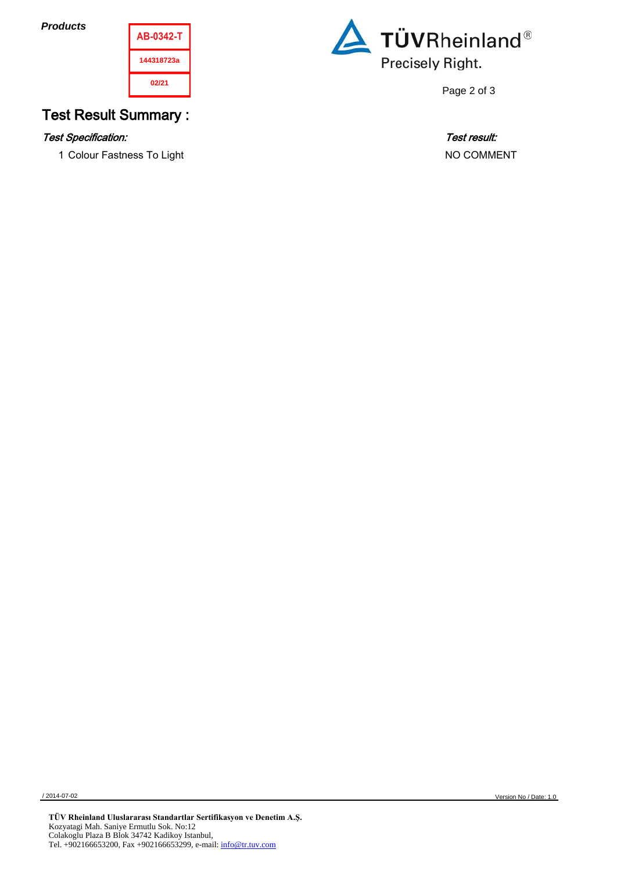**Products**





Page 2 of 3

# Test Result Summary :

#### Test Specification: Test result:

1 Colour Fastness To Light NO COMMENT